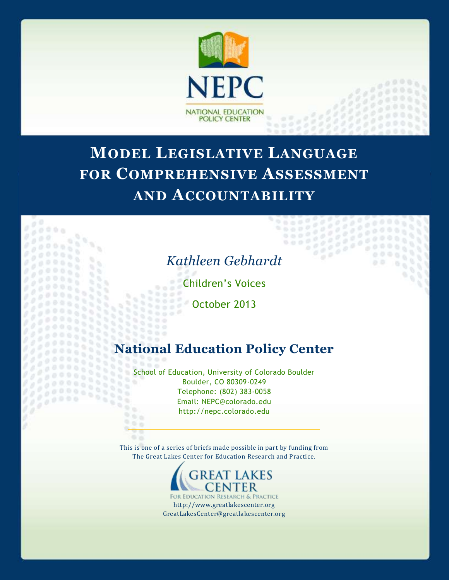

# **MODEL LEGISLATIVE LANGUAGE FOR COMPREHENSIVE ASSESSMENT AND ACCOUNTABILITY**



 $0.0000$ 

 $-0.0$  $000$ o b

Children's Voices

October 2013

 $0.000$  $0.002$ 11112

 $0.0000$ 9588

'n W  $\gamma_{\rm L}$ ĸ  $\mathbf{q}_i$ 

n.

966 9 G

88

v.

 $\overline{\phantom{a}}$ 

33333

ö. s

s

# **National Education Policy Center**

School of Education, University of Colorado Boulder Boulder, CO 80309-0249 Telephone: (802) 383-0058 Email: NEPC@colorado.edu http://nepc.colorado.edu  $10.6$ 

This is one of a series of briefs made possible in part by funding from The Great Lakes Center for Education Research and Practice.



RESEARCH & PRACTICE http://www.greatlakescenter.org GreatLakesCenter@greatlakescenter.org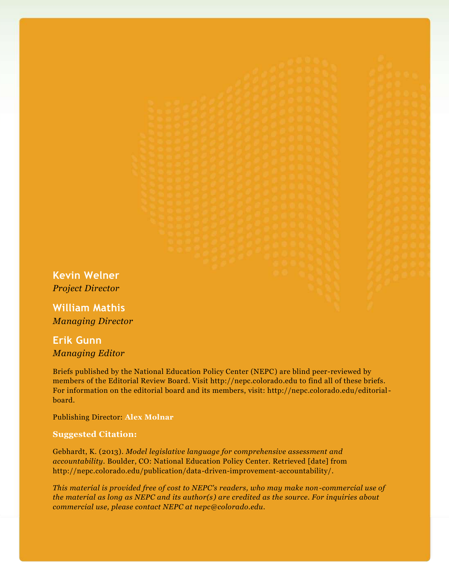**Kevin Welner** *Project Director*

**William Mathis** *Managing Director*

# **Erik Gunn** *Managing Editor*

Briefs published by the National Education Policy Center (NEPC) are blind peer-reviewed by members of the Editorial Review Board. Visit http://nepc.colorado.edu to find all of these briefs. For information on the editorial board and its members, visit: http://nepc.colorado.edu/editorialboard.

Publishing Director: **Alex Molnar**

#### **Suggested Citation:**

Gebhardt, K. (2013). *Model legislative language for comprehensive assessment and accountability.* Boulder, CO: National Education Policy Center. Retrieved [date] from http://nepc.colorado.edu/publication/data-driven-improvement-accountability/.

*This material is provided free of cost to NEPC's readers, who may make non-commercial use of the material as long as NEPC and its author(s) are credited as the source. For inquiries about commercial use, please contact NEPC at nepc@colorado.edu.*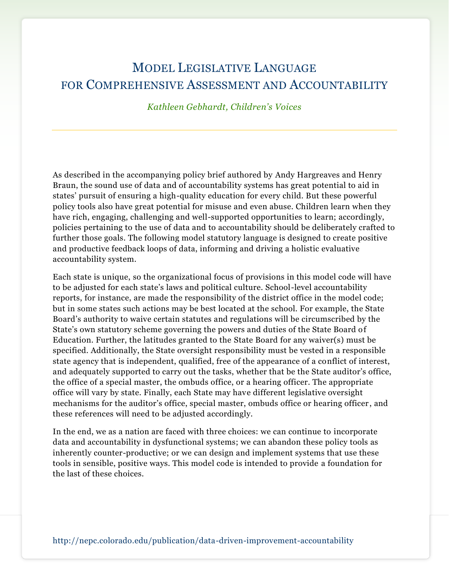# MODEL LEGISLATIVE LANGUAGE FOR COMPREHENSIVE ASSESSMENT AND ACCOUNTABILITY

*Kathleen Gebhardt, Children's Voices*

As described in the accompanying policy brief authored by Andy Hargreaves and Henry Braun, the sound use of data and of accountability systems has great potential to aid in states' pursuit of ensuring a high-quality education for every child. But these powerful policy tools also have great potential for misuse and even abuse. Children learn when they have rich, engaging, challenging and well-supported opportunities to learn; accordingly, policies pertaining to the use of data and to accountability should be deliberately crafted to further those goals. The following model statutory language is designed to create positive and productive feedback loops of data, informing and driving a holistic evaluative accountability system.

Each state is unique, so the organizational focus of provisions in this model code will have to be adjusted for each state's laws and political culture. School-level accountability reports, for instance, are made the responsibility of the district office in the model code; but in some states such actions may be best located at the school. For example, the State Board's authority to waive certain statutes and regulations will be circumscribed by the State's own statutory scheme governing the powers and duties of the State Board of Education. Further, the latitudes granted to the State Board for any waiver(s) must be specified. Additionally, the State oversight responsibility must be vested in a responsible state agency that is independent, qualified, free of the appearance of a conflict of interest, and adequately supported to carry out the tasks, whether that be the State auditor's office, the office of a special master, the ombuds office, or a hearing officer. The appropriate office will vary by state. Finally, each State may have different legislative oversight mechanisms for the auditor's office, special master, ombuds office or hearing officer , and these references will need to be adjusted accordingly.

In the end, we as a nation are faced with three choices: we can continue to incorporate data and accountability in dysfunctional systems; we can abandon these policy tools as inherently counter-productive; or we can design and implement systems that use these tools in sensible, positive ways. This model code is intended to provide a foundation for the last of these choices.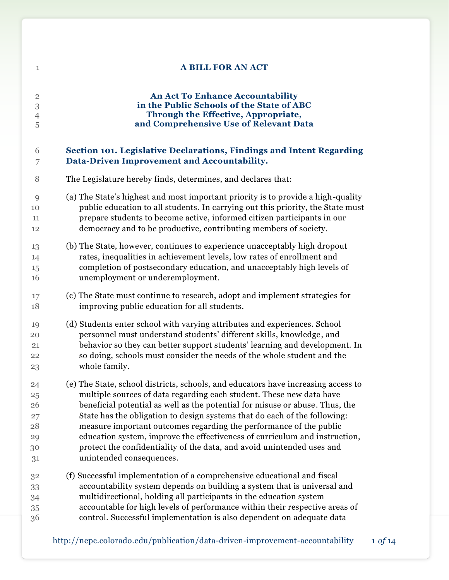| $\mathbf{1}$   | <b>A BILL FOR AN ACT</b>                                                          |
|----------------|-----------------------------------------------------------------------------------|
| $\overline{2}$ | <b>An Act To Enhance Accountability</b>                                           |
| $\,3$          | in the Public Schools of the State of ABC                                         |
| $\overline{4}$ | Through the Effective, Appropriate,                                               |
| 5              | and Comprehensive Use of Relevant Data                                            |
| 6              | Section 101. Legislative Declarations, Findings and Intent Regarding              |
| 7              | Data-Driven Improvement and Accountability.                                       |
| 8              | The Legislature hereby finds, determines, and declares that:                      |
| 9              | (a) The State's highest and most important priority is to provide a high-quality  |
| 10             | public education to all students. In carrying out this priority, the State must   |
| 11             | prepare students to become active, informed citizen participants in our           |
| 12             | democracy and to be productive, contributing members of society.                  |
| 13             | (b) The State, however, continues to experience unacceptably high dropout         |
| 14             | rates, inequalities in achievement levels, low rates of enrollment and            |
| 15             | completion of postsecondary education, and unacceptably high levels of            |
| 16             | unemployment or underemployment.                                                  |
| 17             | (c) The State must continue to research, adopt and implement strategies for       |
| 18             | improving public education for all students.                                      |
| 19             | (d) Students enter school with varying attributes and experiences. School         |
| 20             | personnel must understand students' different skills, knowledge, and              |
| 21             | behavior so they can better support students' learning and development. In        |
| 22             | so doing, schools must consider the needs of the whole student and the            |
| 23             | whole family.                                                                     |
| 24             | (e) The State, school districts, schools, and educators have increasing access to |
| $25\,$         | multiple sources of data regarding each student. These new data have              |
| 26             | beneficial potential as well as the potential for misuse or abuse. Thus, the      |
| 27             | State has the obligation to design systems that do each of the following:         |
| 28             | measure important outcomes regarding the performance of the public                |
| 29             | education system, improve the effectiveness of curriculum and instruction,        |
| 30             | protect the confidentiality of the data, and avoid unintended uses and            |
| 31             | unintended consequences.                                                          |
| 32             | (f) Successful implementation of a comprehensive educational and fiscal           |
| 33             | accountability system depends on building a system that is universal and          |
| 34             | multidirectional, holding all participants in the education system                |
| 35             | accountable for high levels of performance within their respective areas of       |
| 36             | control. Successful implementation is also dependent on adequate data             |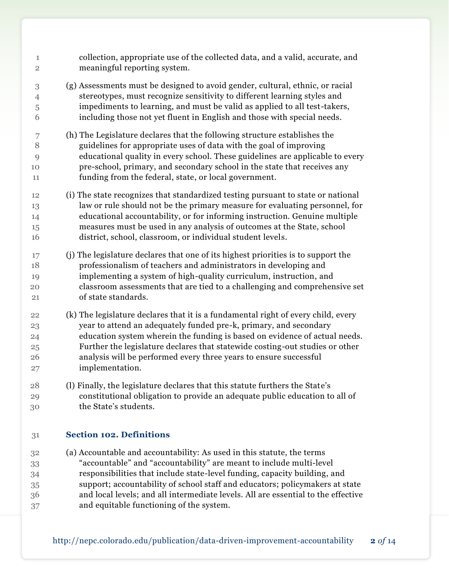| 1              | collection, appropriate use of the collected data, and a valid, accurate, and     |
|----------------|-----------------------------------------------------------------------------------|
| $\sqrt{2}$     | meaningful reporting system.                                                      |
| $\,3$          | (g) Assessments must be designed to avoid gender, cultural, ethnic, or racial     |
| $\overline{4}$ | stereotypes, must recognize sensitivity to different learning styles and          |
| 5              | impediments to learning, and must be valid as applied to all test-takers,         |
| 6              | including those not yet fluent in English and those with special needs.           |
| 7              | (h) The Legislature declares that the following structure establishes the         |
| 8              | guidelines for appropriate uses of data with the goal of improving                |
| 9              | educational quality in every school. These guidelines are applicable to every     |
| 10             | pre-school, primary, and secondary school in the state that receives any          |
| 11             | funding from the federal, state, or local government.                             |
| 12             | (i) The state recognizes that standardized testing pursuant to state or national  |
| 13             | law or rule should not be the primary measure for evaluating personnel, for       |
| 14             | educational accountability, or for informing instruction. Genuine multiple        |
| 15             | measures must be used in any analysis of outcomes at the State, school            |
| 16             | district, school, classroom, or individual student levels.                        |
| 17             | (j) The legislature declares that one of its highest priorities is to support the |
| 18             | professionalism of teachers and administrators in developing and                  |
| 19             | implementing a system of high-quality curriculum, instruction, and                |
| 20             | classroom assessments that are tied to a challenging and comprehensive set        |
| 21             | of state standards.                                                               |
| 22             | (k) The legislature declares that it is a fundamental right of every child, every |
| 23             | year to attend an adequately funded pre-k, primary, and secondary                 |
| 24             | education system wherein the funding is based on evidence of actual needs.        |
| 25             | Further the legislature declares that statewide costing-out studies or other      |
| 26             | analysis will be performed every three years to ensure successful                 |
| 27             | implementation.                                                                   |
| 28             | (I) Finally, the legislature declares that this statute furthers the State's      |
| 29             | constitutional obligation to provide an adequate public education to all of       |
| 30             | the State's students.                                                             |
| 31             | <b>Section 102. Definitions</b>                                                   |
| 32             | (a) Accountable and accountability: As used in this statute, the terms            |

 "accountable" and "accountability" are meant to include multi-level responsibilities that include state-level funding, capacity building, and support; accountability of school staff and educators; policymakers at state and local levels; and all intermediate levels. All are essential to the effective and equitable functioning of the system.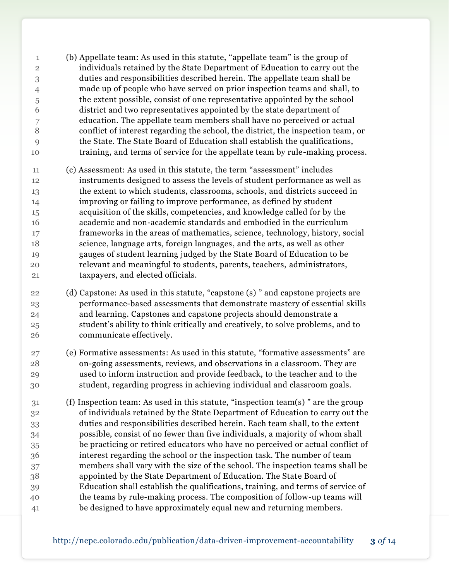- (b) Appellate team: As used in this statute, "appellate team" is the group of individuals retained by the State Department of Education to carry out the duties and responsibilities described herein. The appellate team shall be made up of people who have served on prior inspection teams and shall, to the extent possible, consist of one representative appointed by the school district and two representatives appointed by the state department of education. The appellate team members shall have no perceived or actual conflict of interest regarding the school, the district, the inspection team, or the State. The State Board of Education shall establish the qualifications, training, and terms of service for the appellate team by rule-making process.
- (c) Assessment: As used in this statute, the term "assessment" includes instruments designed to assess the levels of student performance as well as the extent to which students, classrooms, schools, and districts succeed in improving or failing to improve performance, as defined by student acquisition of the skills, competencies, and knowledge called for by the academic and non-academic standards and embodied in the curriculum frameworks in the areas of mathematics, science, technology, history, social science, language arts, foreign languages, and the arts, as well as other gauges of student learning judged by the State Board of Education to be relevant and meaningful to students, parents, teachers, administrators, taxpayers, and elected officials.
- (d) Capstone: As used in this statute, "capstone (s) " and capstone projects are performance-based assessments that demonstrate mastery of essential skills and learning. Capstones and capstone projects should demonstrate a student's ability to think critically and creatively, to solve problems, and to communicate effectively.
- (e) Formative assessments: As used in this statute, "formative assessments" are on-going assessments, reviews, and observations in a classroom. They are used to inform instruction and provide feedback, to the teacher and to the student, regarding progress in achieving individual and classroom goals.
- (f) Inspection team: As used in this statute, "inspection team(s) " are the group of individuals retained by the State Department of Education to carry out the duties and responsibilities described herein. Each team shall, to the extent possible, consist of no fewer than five individuals, a majority of whom shall be practicing or retired educators who have no perceived or actual conflict of interest regarding the school or the inspection task. The number of team members shall vary with the size of the school. The inspection teams shall be appointed by the State Department of Education. The State Board of Education shall establish the qualifications, training, and terms of service of the teams by rule-making process. The composition of follow-up teams will be designed to have approximately equal new and returning members.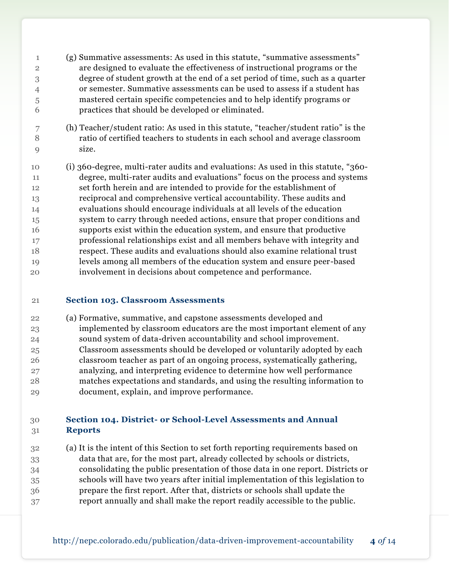- (g) Summative assessments: As used in this statute, "summative assessments" are designed to evaluate the effectiveness of instructional programs or the degree of student growth at the end of a set period of time, such as a quarter or semester. Summative assessments can be used to assess if a student has mastered certain specific competencies and to help identify programs or practices that should be developed or eliminated.
- (h) Teacher/student ratio: As used in this statute, "teacher/student ratio" is the ratio of certified teachers to students in each school and average classroom size.
- (i) 360-degree, multi-rater audits and evaluations: As used in this statute, "360- degree, multi-rater audits and evaluations" focus on the process and systems set forth herein and are intended to provide for the establishment of reciprocal and comprehensive vertical accountability. These audits and evaluations should encourage individuals at all levels of the education system to carry through needed actions, ensure that proper conditions and supports exist within the education system, and ensure that productive professional relationships exist and all members behave with integrity and respect. These audits and evaluations should also examine relational trust levels among all members of the education system and ensure peer-based involvement in decisions about competence and performance.

## **Section 103. Classroom Assessments**

 (a) Formative, summative, and capstone assessments developed and implemented by classroom educators are the most important element of any sound system of data-driven accountability and school improvement. Classroom assessments should be developed or voluntarily adopted by each classroom teacher as part of an ongoing process, systematically gathering, analyzing, and interpreting evidence to determine how well performance matches expectations and standards, and using the resulting information to document, explain, and improve performance.

## **Section 104. District- or School-Level Assessments and Annual Reports**

 (a) It is the intent of this Section to set forth reporting requirements based on data that are, for the most part, already collected by schools or districts, consolidating the public presentation of those data in one report. Districts or schools will have two years after initial implementation of this legislation to prepare the first report. After that, districts or schools shall update the report annually and shall make the report readily accessible to the public.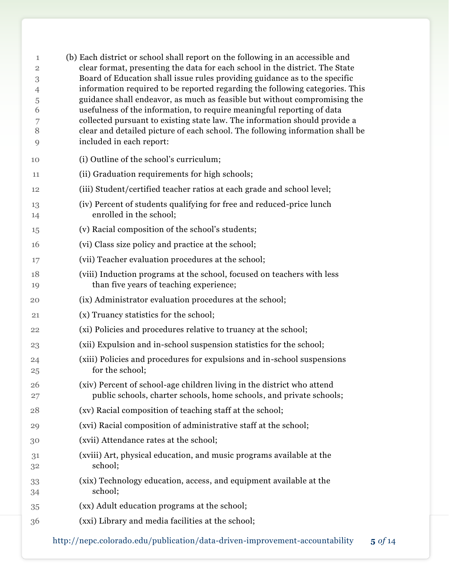| 1<br>$\overline{2}$<br>3 | (b) Each district or school shall report on the following in an accessible and<br>clear format, presenting the data for each school in the district. The State<br>Board of Education shall issue rules providing guidance as to the specific |
|--------------------------|----------------------------------------------------------------------------------------------------------------------------------------------------------------------------------------------------------------------------------------------|
| 4                        | information required to be reported regarding the following categories. This                                                                                                                                                                 |
| 5                        | guidance shall endeavor, as much as feasible but without compromising the                                                                                                                                                                    |
| 6                        | usefulness of the information, to require meaningful reporting of data                                                                                                                                                                       |
| 7<br>8                   | collected pursuant to existing state law. The information should provide a<br>clear and detailed picture of each school. The following information shall be                                                                                  |
| 9                        | included in each report:                                                                                                                                                                                                                     |
| 10                       | (i) Outline of the school's curriculum;                                                                                                                                                                                                      |
| 11                       | (ii) Graduation requirements for high schools;                                                                                                                                                                                               |
| 12                       | (iii) Student/certified teacher ratios at each grade and school level;                                                                                                                                                                       |
| 13<br>14                 | (iv) Percent of students qualifying for free and reduced-price lunch<br>enrolled in the school;                                                                                                                                              |
| 15                       | (v) Racial composition of the school's students;                                                                                                                                                                                             |
| 16                       | (vi) Class size policy and practice at the school;                                                                                                                                                                                           |
| 17                       | (vii) Teacher evaluation procedures at the school;                                                                                                                                                                                           |
| 18<br>19                 | (viii) Induction programs at the school, focused on teachers with less<br>than five years of teaching experience;                                                                                                                            |
| 20                       | (ix) Administrator evaluation procedures at the school;                                                                                                                                                                                      |
| 21                       | (x) Truancy statistics for the school;                                                                                                                                                                                                       |
| 22                       | (xi) Policies and procedures relative to truancy at the school;                                                                                                                                                                              |
| 23                       | (xii) Expulsion and in-school suspension statistics for the school;                                                                                                                                                                          |
| 24<br>25                 | (xiii) Policies and procedures for expulsions and in-school suspensions<br>for the school;                                                                                                                                                   |
| 26<br>27                 | (xiv) Percent of school-age children living in the district who attend<br>public schools, charter schools, home schools, and private schools;                                                                                                |
| 28                       | (xv) Racial composition of teaching staff at the school;                                                                                                                                                                                     |
| 29                       | (xvi) Racial composition of administrative staff at the school;                                                                                                                                                                              |
| 30                       | (xvii) Attendance rates at the school;                                                                                                                                                                                                       |
| 31<br>32                 | (xviii) Art, physical education, and music programs available at the<br>school;                                                                                                                                                              |
| 33<br>34                 | (xix) Technology education, access, and equipment available at the<br>school;                                                                                                                                                                |
| 35                       | (xx) Adult education programs at the school;                                                                                                                                                                                                 |
| 36                       | (xxi) Library and media facilities at the school;                                                                                                                                                                                            |
|                          |                                                                                                                                                                                                                                              |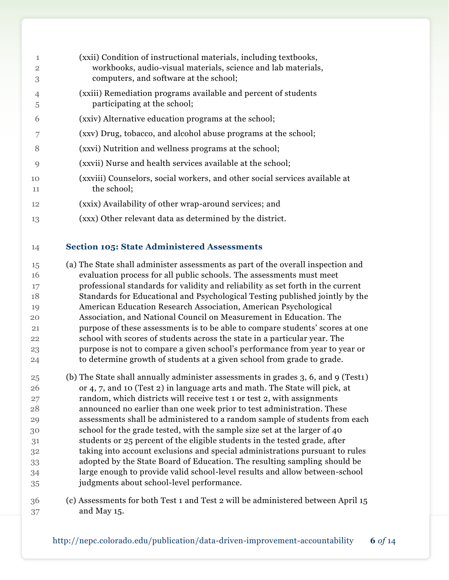| 1<br>$\overline{2}$ | (xxii) Condition of instructional materials, including textbooks,<br>workbooks, audio-visual materials, science and lab materials, |
|---------------------|------------------------------------------------------------------------------------------------------------------------------------|
| 3                   | computers, and software at the school;                                                                                             |
| $\overline{4}$      | (xxiii) Remediation programs available and percent of students                                                                     |
| 5                   | participating at the school;                                                                                                       |
| 6                   | (xxiv) Alternative education programs at the school;                                                                               |
|                     | (xxv) Drug, tobacco, and alcohol abuse programs at the school;                                                                     |
| 8                   | (xxvi) Nutrition and wellness programs at the school;                                                                              |
| $\mathbf Q$         | (xxvii) Nurse and health services available at the school;                                                                         |
| 10                  | (xxviii) Counselors, social workers, and other social services available at                                                        |
| 11                  | the school;                                                                                                                        |
| 12                  | (xxix) Availability of other wrap-around services; and                                                                             |
| 13                  | (xxx) Other relevant data as determined by the district.                                                                           |

## **Section 105: State Administered Assessments**

 (a) The State shall administer assessments as part of the overall inspection and evaluation process for all public schools. The assessments must meet professional standards for validity and reliability as set forth in the current Standards for Educational and Psychological Testing published jointly by the American Education Research Association, American Psychological Association, and National Council on Measurement in Education. The purpose of these assessments is to be able to compare students' scores at one school with scores of students across the state in a particular year. The purpose is not to compare a given school's performance from year to year or to determine growth of students at a given school from grade to grade.

 (b) The State shall annually administer assessments in grades 3, 6, and 9 (Test1) or 4, 7, and 10 (Test 2) in language arts and math. The State will pick, at random, which districts will receive test 1 or test 2, with assignments announced no earlier than one week prior to test administration. These assessments shall be administered to a random sample of students from each school for the grade tested, with the sample size set at the larger of 40 students or 25 percent of the eligible students in the tested grade, after taking into account exclusions and special administrations pursuant to rules adopted by the State Board of Education. The resulting sampling should be large enough to provide valid school-level results and allow between-school judgments about school-level performance.

 (c) Assessments for both Test 1 and Test 2 will be administered between April 15 and May 15.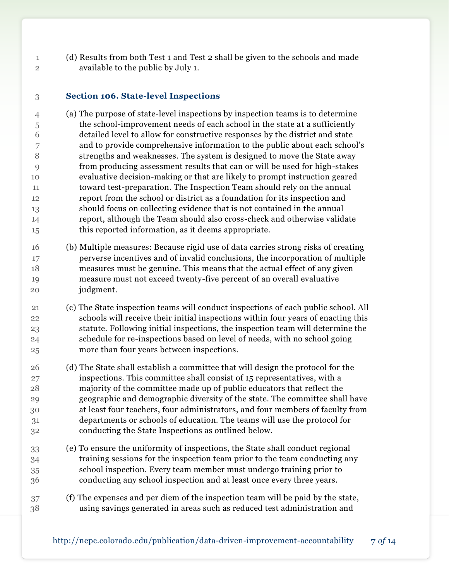(d) Results from both Test 1 and Test 2 shall be given to the schools and made available to the public by July 1.

#### **Section 106. State-level Inspections**

 (a) The purpose of state-level inspections by inspection teams is to determine the school-improvement needs of each school in the state at a sufficiently detailed level to allow for constructive responses by the district and state and to provide comprehensive information to the public about each school's strengths and weaknesses. The system is designed to move the State away from producing assessment results that can or will be used for high-stakes evaluative decision-making or that are likely to prompt instruction geared toward test-preparation. The Inspection Team should rely on the annual report from the school or district as a foundation for its inspection and should focus on collecting evidence that is not contained in the annual report, although the Team should also cross-check and otherwise validate this reported information, as it deems appropriate.

 (b) Multiple measures: Because rigid use of data carries strong risks of creating perverse incentives and of invalid conclusions, the incorporation of multiple measures must be genuine. This means that the actual effect of any given measure must not exceed twenty-five percent of an overall evaluative judgment.

 (c) The State inspection teams will conduct inspections of each public school. All schools will receive their initial inspections within four years of enacting this statute. Following initial inspections, the inspection team will determine the schedule for re-inspections based on level of needs, with no school going more than four years between inspections.

- (d) The State shall establish a committee that will design the protocol for the inspections. This committee shall consist of 15 representatives, with a majority of the committee made up of public educators that reflect the geographic and demographic diversity of the state. The committee shall have at least four teachers, four administrators, and four members of faculty from departments or schools of education. The teams will use the protocol for conducting the State Inspections as outlined below.
- (e) To ensure the uniformity of inspections, the State shall conduct regional training sessions for the inspection team prior to the team conducting any school inspection. Every team member must undergo training prior to conducting any school inspection and at least once every three years.
- (f) The expenses and per diem of the inspection team will be paid by the state, using savings generated in areas such as reduced test administration and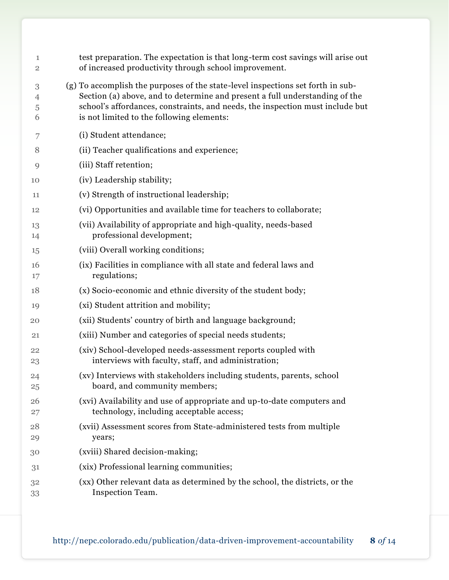| 1<br>$\overline{2}$ | test preparation. The expectation is that long-term cost savings will arise out<br>of increased productivity through school improvement.                                                                                                                                                     |
|---------------------|----------------------------------------------------------------------------------------------------------------------------------------------------------------------------------------------------------------------------------------------------------------------------------------------|
| 3<br>4<br>5<br>6    | (g) To accomplish the purposes of the state-level inspections set forth in sub-<br>Section (a) above, and to determine and present a full understanding of the<br>school's affordances, constraints, and needs, the inspection must include but<br>is not limited to the following elements: |
| 7                   | (i) Student attendance;                                                                                                                                                                                                                                                                      |
| 8                   | (ii) Teacher qualifications and experience;                                                                                                                                                                                                                                                  |
| 9                   | (iii) Staff retention;                                                                                                                                                                                                                                                                       |
| 10                  | (iv) Leadership stability;                                                                                                                                                                                                                                                                   |
| 11                  | (v) Strength of instructional leadership;                                                                                                                                                                                                                                                    |
| 12                  | (vi) Opportunities and available time for teachers to collaborate;                                                                                                                                                                                                                           |
| 13<br>14            | (vii) Availability of appropriate and high-quality, needs-based<br>professional development;                                                                                                                                                                                                 |
| 15                  | (viii) Overall working conditions;                                                                                                                                                                                                                                                           |
| 16<br>17            | (ix) Facilities in compliance with all state and federal laws and<br>regulations;                                                                                                                                                                                                            |
| 18                  | (x) Socio-economic and ethnic diversity of the student body;                                                                                                                                                                                                                                 |
| 19                  | (xi) Student attrition and mobility;                                                                                                                                                                                                                                                         |
| 20                  | (xii) Students' country of birth and language background;                                                                                                                                                                                                                                    |
| 21                  | (xiii) Number and categories of special needs students;                                                                                                                                                                                                                                      |
| 22<br>23            | (xiv) School-developed needs-assessment reports coupled with<br>interviews with faculty, staff, and administration;                                                                                                                                                                          |
| 24<br>25            | (xv) Interviews with stakeholders including students, parents, school<br>board, and community members;                                                                                                                                                                                       |
| 26<br>27            | (xvi) Availability and use of appropriate and up-to-date computers and<br>technology, including acceptable access;                                                                                                                                                                           |
| 28<br>29            | (xvii) Assessment scores from State-administered tests from multiple<br>years;                                                                                                                                                                                                               |
| 30                  | (xviii) Shared decision-making;                                                                                                                                                                                                                                                              |
| 31                  | (xix) Professional learning communities;                                                                                                                                                                                                                                                     |
| 32<br>33            | (xx) Other relevant data as determined by the school, the districts, or the<br>Inspection Team.                                                                                                                                                                                              |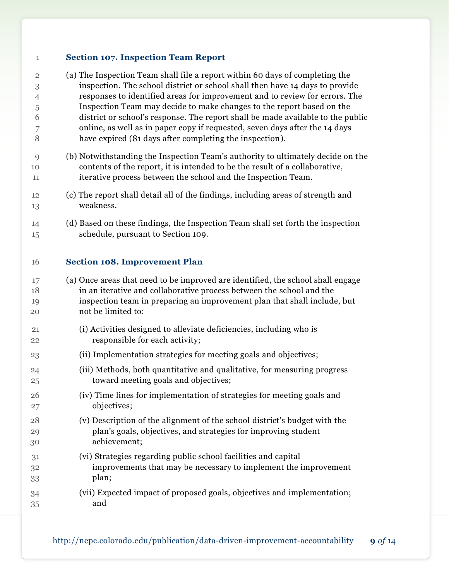#### **Section 107. Inspection Team Report**

| $\overline{2}$ | (a) The Inspection Team shall file a report within 60 days of completing the    |
|----------------|---------------------------------------------------------------------------------|
| 3              | inspection. The school district or school shall then have 14 days to provide    |
| $\overline{4}$ | responses to identified areas for improvement and to review for errors. The     |
| 5              | Inspection Team may decide to make changes to the report based on the           |
| 6              | district or school's response. The report shall be made available to the public |
| 7              | online, as well as in paper copy if requested, seven days after the 14 days     |
| 8              | have expired (81 days after completing the inspection).                         |
|                |                                                                                 |
| $\mathbf Q$    | (b) Notwithstanding the Inspection Team's authority to ultimately decide on the |

- contents of the report, it is intended to be the result of a collaborative, iterative process between the school and the Inspection Team.
- (c) The report shall detail all of the findings, including areas of strength and weakness.
- (d) Based on these findings, the Inspection Team shall set forth the inspection schedule, pursuant to Section 109.

#### **Section 108. Improvement Plan**

- (a) Once areas that need to be improved are identified, the school shall engage in an iterative and collaborative process between the school and the inspection team in preparing an improvement plan that shall include, but not be limited to:
- (i) Activities designed to alleviate deficiencies, including who is responsible for each activity;
- (ii) Implementation strategies for meeting goals and objectives;
- (iii) Methods, both quantitative and qualitative, for measuring progress toward meeting goals and objectives;
- (iv) Time lines for implementation of strategies for meeting goals and objectives;
- (v) Description of the alignment of the school district's budget with the plan's goals, objectives, and strategies for improving student achievement;
- (vi) Strategies regarding public school facilities and capital improvements that may be necessary to implement the improvement plan;
- (vii) Expected impact of proposed goals, objectives and implementation; and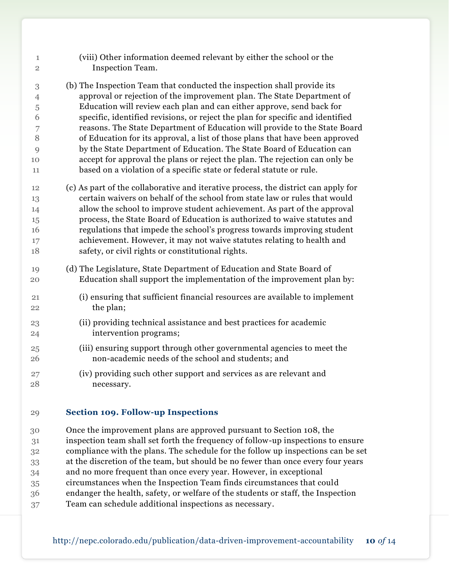| $\mathbf{1}$<br>$\overline{2}$ | (viii) Other information deemed relevant by either the school or the<br>Inspection Team.                                                        |
|--------------------------------|-------------------------------------------------------------------------------------------------------------------------------------------------|
| 3                              | (b) The Inspection Team that conducted the inspection shall provide its                                                                         |
| $\overline{4}$                 | approval or rejection of the improvement plan. The State Department of                                                                          |
| 5                              | Education will review each plan and can either approve, send back for                                                                           |
| 6                              | specific, identified revisions, or reject the plan for specific and identified                                                                  |
| 7                              | reasons. The State Department of Education will provide to the State Board                                                                      |
| 8                              | of Education for its approval, a list of those plans that have been approved                                                                    |
| 9                              | by the State Department of Education. The State Board of Education can                                                                          |
| 10                             | accept for approval the plans or reject the plan. The rejection can only be                                                                     |
| 11                             | based on a violation of a specific state or federal statute or rule.                                                                            |
| 12                             | (c) As part of the collaborative and iterative process, the district can apply for                                                              |
| 13                             | certain waivers on behalf of the school from state law or rules that would                                                                      |
| 14                             | allow the school to improve student achievement. As part of the approval                                                                        |
| 15                             | process, the State Board of Education is authorized to waive statutes and                                                                       |
| 16                             | regulations that impede the school's progress towards improving student                                                                         |
| 17                             | achievement. However, it may not waive statutes relating to health and                                                                          |
| 18                             | safety, or civil rights or constitutional rights.                                                                                               |
| 19<br>20                       | (d) The Legislature, State Department of Education and State Board of<br>Education shall support the implementation of the improvement plan by: |
|                                |                                                                                                                                                 |
| 21                             | (i) ensuring that sufficient financial resources are available to implement                                                                     |
| 22                             | the plan;                                                                                                                                       |
| 23                             | (ii) providing technical assistance and best practices for academic                                                                             |
| 24                             | intervention programs;                                                                                                                          |
| 25                             | (iii) ensuring support through other governmental agencies to meet the                                                                          |
| 26                             | non-academic needs of the school and students; and                                                                                              |
| 27                             | (iv) providing such other support and services as are relevant and                                                                              |
| 28                             | necessary.                                                                                                                                      |
|                                | - -                                                                                                                                             |

#### **Section 109. Follow-up Inspections**

 Once the improvement plans are approved pursuant to Section 108, the inspection team shall set forth the frequency of follow-up inspections to ensure compliance with the plans. The schedule for the follow up inspections can be set at the discretion of the team, but should be no fewer than once every four years and no more frequent than once every year. However, in exceptional circumstances when the Inspection Team finds circumstances that could endanger the health, safety, or welfare of the students or staff, the Inspection Team can schedule additional inspections as necessary.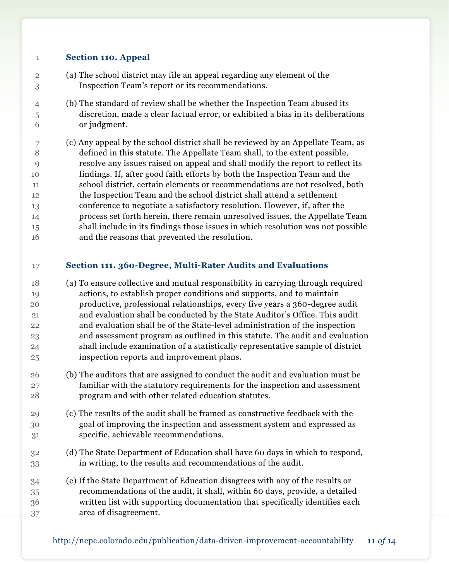## **Section 110. Appeal**

- (a) The school district may file an appeal regarding any element of the Inspection Team's report or its recommendations.
- (b) The standard of review shall be whether the Inspection Team abused its discretion, made a clear factual error, or exhibited a bias in its deliberations or judgment.
- (c) Any appeal by the school district shall be reviewed by an Appellate Team, as defined in this statute. The Appellate Team shall, to the extent possible, resolve any issues raised on appeal and shall modify the report to reflect its findings. If, after good faith efforts by both the Inspection Team and the school district, certain elements or recommendations are not resolved, both the Inspection Team and the school district shall attend a settlement conference to negotiate a satisfactory resolution. However, if, after the process set forth herein, there remain unresolved issues, the Appellate Team shall include in its findings those issues in which resolution was not possible and the reasons that prevented the resolution.

## **Section 111. 360-Degree, Multi-Rater Audits and Evaluations**

- (a) To ensure collective and mutual responsibility in carrying through required actions, to establish proper conditions and supports, and to maintain productive, professional relationships, every five years a 360-degree audit and evaluation shall be conducted by the State Auditor's Office. This audit and evaluation shall be of the State-level administration of the inspection and assessment program as outlined in this statute. The audit and evaluation shall include examination of a statistically representative sample of district inspection reports and improvement plans.
- (b) The auditors that are assigned to conduct the audit and evaluation must be familiar with the statutory requirements for the inspection and assessment program and with other related education statutes.
- (c) The results of the audit shall be framed as constructive feedback with the goal of improving the inspection and assessment system and expressed as specific, achievable recommendations.
- (d) The State Department of Education shall have 60 days in which to respond, in writing, to the results and recommendations of the audit.
- (e) If the State Department of Education disagrees with any of the results or recommendations of the audit, it shall, within 60 days, provide, a detailed written list with supporting documentation that specifically identifies each area of disagreement.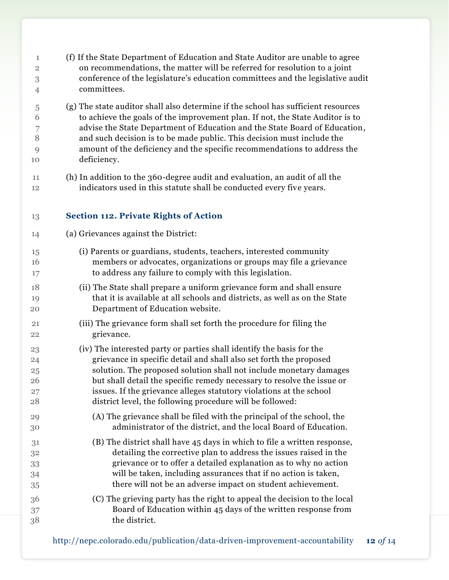(f) If the State Department of Education and State Auditor are unable to agree on recommendations, the matter will be referred for resolution to a joint conference of the legislature's education committees and the legislative audit committees. (g) The state auditor shall also determine if the school has sufficient resources to achieve the goals of the improvement plan. If not, the State Auditor is to advise the State Department of Education and the State Board of Education, and such decision is to be made public. This decision must include the amount of the deficiency and the specific recommendations to address the deficiency. (h) In addition to the 360-degree audit and evaluation, an audit of all the indicators used in this statute shall be conducted every five years. **Section 112. Private Rights of Action** (a) Grievances against the District: (i) Parents or guardians, students, teachers, interested community members or advocates, organizations or groups may file a grievance to address any failure to comply with this legislation. (ii) The State shall prepare a uniform grievance form and shall ensure that it is available at all schools and districts, as well as on the State Department of Education website. (iii) The grievance form shall set forth the procedure for filing the grievance. (iv) The interested party or parties shall identify the basis for the grievance in specific detail and shall also set forth the proposed solution. The proposed solution shall not include monetary damages but shall detail the specific remedy necessary to resolve the issue or issues. If the grievance alleges statutory violations at the school district level, the following procedure will be followed: (A) The grievance shall be filed with the principal of the school, the administrator of the district, and the local Board of Education. (B) The district shall have 45 days in which to file a written response, detailing the corrective plan to address the issues raised in the grievance or to offer a detailed explanation as to why no action will be taken, including assurances that if no action is taken, there will not be an adverse impact on student achievement. (C) The grieving party has the right to appeal the decision to the local Board of Education within 45 days of the written response from the district.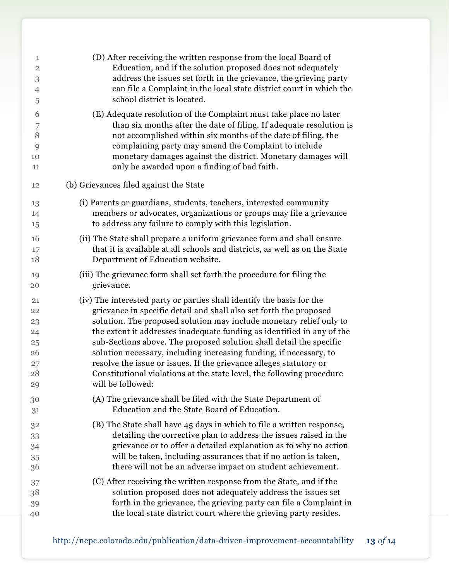| 1              | (D) After receiving the written response from the local Board of           |
|----------------|----------------------------------------------------------------------------|
| $\sqrt{2}$     | Education, and if the solution proposed does not adequately                |
| 3              | address the issues set forth in the grievance, the grieving party          |
| $\overline{4}$ | can file a Complaint in the local state district court in which the        |
| 5              | school district is located.                                                |
| 6              | (E) Adequate resolution of the Complaint must take place no later          |
| 7              | than six months after the date of filing. If adequate resolution is        |
| 8              | not accomplished within six months of the date of filing, the              |
| 9              | complaining party may amend the Complaint to include                       |
| 10             | monetary damages against the district. Monetary damages will               |
| 11             | only be awarded upon a finding of bad faith.                               |
| 12             | (b) Grievances filed against the State                                     |
| 13             | (i) Parents or guardians, students, teachers, interested community         |
| 14             | members or advocates, organizations or groups may file a grievance         |
| 15             | to address any failure to comply with this legislation.                    |
| 16             | (ii) The State shall prepare a uniform grievance form and shall ensure     |
| 17             | that it is available at all schools and districts, as well as on the State |
| 18             | Department of Education website.                                           |
| 19             | (iii) The grievance form shall set forth the procedure for filing the      |
| 20             | grievance.                                                                 |
| 21             | (iv) The interested party or parties shall identify the basis for the      |
| 22             | grievance in specific detail and shall also set forth the proposed         |
| 23             | solution. The proposed solution may include monetary relief only to        |
| 24             | the extent it addresses inadequate funding as identified in any of the     |
| 25             | sub-Sections above. The proposed solution shall detail the specific        |
| 26             | solution necessary, including increasing funding, if necessary, to         |
| 27             | resolve the issue or issues. If the grievance alleges statutory or         |
| 28             | Constitutional violations at the state level, the following procedure      |
| 29             | will be followed:                                                          |
| 30             | (A) The grievance shall be filed with the State Department of              |
| 31             | Education and the State Board of Education.                                |
| 32             | (B) The State shall have 45 days in which to file a written response,      |
| 33             | detailing the corrective plan to address the issues raised in the          |
| 34             | grievance or to offer a detailed explanation as to why no action           |
| 35             | will be taken, including assurances that if no action is taken,            |
| 36             | there will not be an adverse impact on student achievement.                |
| 37             | (C) After receiving the written response from the State, and if the        |
| 38             | solution proposed does not adequately address the issues set               |
| 39             | forth in the grievance, the grieving party can file a Complaint in         |
| 40             | the local state district court where the grieving party resides.           |